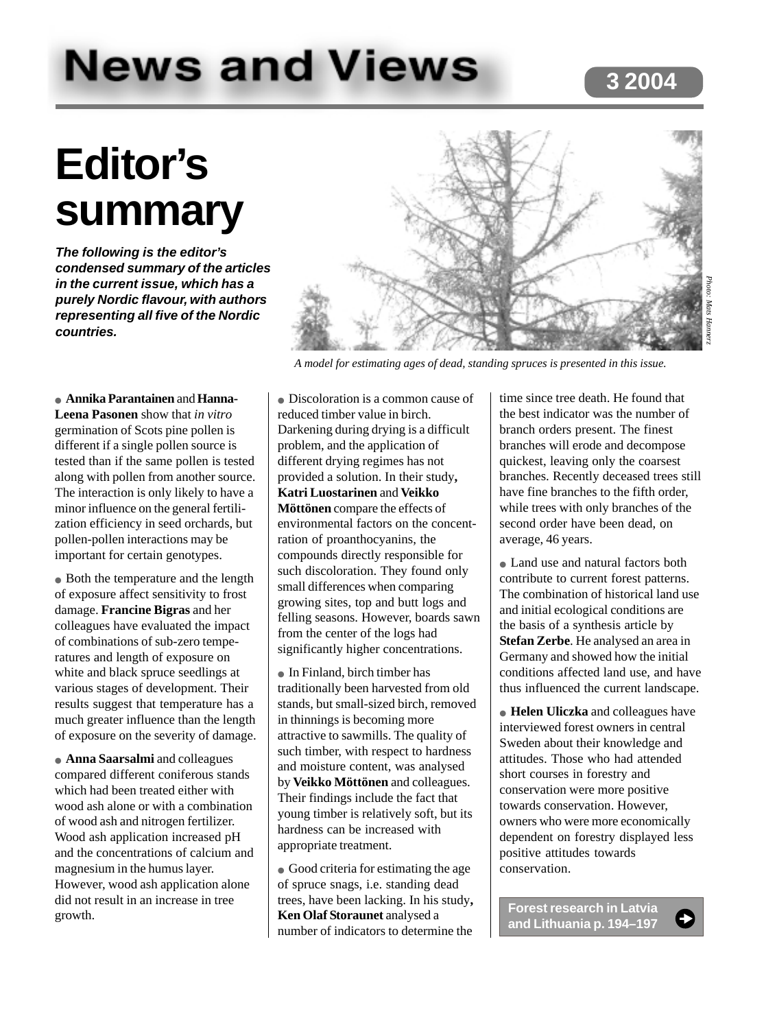# **News and Views**

### **3 2004**

# **Editor's summary**

**The following is the editor's condensed summary of the articles in the current issue, which has a purely Nordic flavour, with authors representing all five of the Nordic countries.**



*A model for estimating ages of dead, standing spruces is presented in this issue.*

● **Annika Parantainen** and **Hanna-Leena Pasonen** show that *in vitro* germination of Scots pine pollen is different if a single pollen source is tested than if the same pollen is tested along with pollen from another source. The interaction is only likely to have a minor influence on the general fertilization efficiency in seed orchards, but pollen-pollen interactions may be important for certain genotypes.

• Both the temperature and the length of exposure affect sensitivity to frost damage. **Francine Bigras** and her colleagues have evaluated the impact of combinations of sub-zero temperatures and length of exposure on white and black spruce seedlings at various stages of development. Their results suggest that temperature has a much greater influence than the length of exposure on the severity of damage.

● **Anna Saarsalmi** and colleagues compared different coniferous stands which had been treated either with wood ash alone or with a combination of wood ash and nitrogen fertilizer. Wood ash application increased pH and the concentrations of calcium and magnesium in the humus layer. However, wood ash application alone did not result in an increase in tree growth.

● Discoloration is a common cause of reduced timber value in birch. Darkening during drying is a difficult problem, and the application of different drying regimes has not provided a solution. In their study**, Katri Luostarinen** and **Veikko Möttönen** compare the effects of environmental factors on the concentration of proanthocyanins, the compounds directly responsible for such discoloration. They found only small differences when comparing growing sites, top and butt logs and felling seasons. However, boards sawn from the center of the logs had significantly higher concentrations.

● In Finland, birch timber has traditionally been harvested from old stands, but small-sized birch, removed in thinnings is becoming more attractive to sawmills. The quality of such timber, with respect to hardness and moisture content, was analysed by **Veikko Möttönen** and colleagues. Their findings include the fact that young timber is relatively soft, but its hardness can be increased with appropriate treatment.

● Good criteria for estimating the age of spruce snags, i.e. standing dead trees, have been lacking. In his study**, Ken Olaf Storaunet** analysed a number of indicators to determine the

time since tree death. He found that the best indicator was the number of branch orders present. The finest branches will erode and decompose quickest, leaving only the coarsest branches. Recently deceased trees still have fine branches to the fifth order, while trees with only branches of the second order have been dead, on average, 46 years.

● Land use and natural factors both contribute to current forest patterns. The combination of historical land use and initial ecological conditions are the basis of a synthesis article by **Stefan Zerbe**. He analysed an area in Germany and showed how the initial conditions affected land use, and have thus influenced the current landscape.

● **Helen Uliczka** and colleagues have interviewed forest owners in central Sweden about their knowledge and attitudes. Those who had attended short courses in forestry and conservation were more positive towards conservation. However, owners who were more economically dependent on forestry displayed less positive attitudes towards conservation.

**Forest research in Latvia and Lithuania p. 194–197**

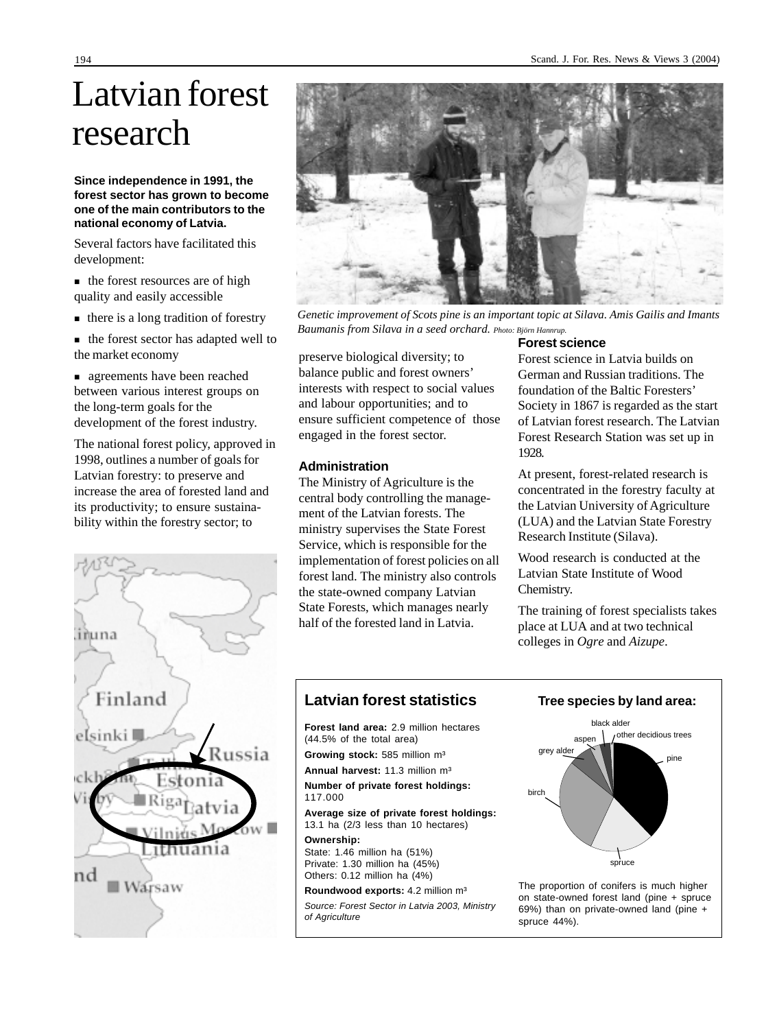## Latvian forest research

#### **Since independence in 1991, the forest sector has grown to become one of the main contributors to the national economy of Latvia.**

Several factors have facilitated this development:

- the forest resources are of high quality and easily accessible
- there is a long tradition of forestry
- $\blacksquare$  the forest sector has adapted well to the market economy

 agreements have been reached between various interest groups on the long-term goals for the development of the forest industry.

The national forest policy, approved in 1998, outlines a number of goals for Latvian forestry: to preserve and increase the area of forested land and its productivity; to ensure sustainability within the forestry sector; to





*Genetic improvement of Scots pine is an important topic at Silava. Amis Gailis and Imants Baumanis from Silava in a seed orchard. Photo: Björn Hannrup.*

preserve biological diversity; to balance public and forest owners' interests with respect to social values and labour opportunities; and to ensure sufficient competence of those engaged in the forest sector.

#### **Administration**

The Ministry of Agriculture is the central body controlling the management of the Latvian forests. The ministry supervises the State Forest Service, which is responsible for the implementation of forest policies on all forest land. The ministry also controls the state-owned company Latvian State Forests, which manages nearly half of the forested land in Latvia.

#### **Forest science**

Forest science in Latvia builds on German and Russian traditions. The foundation of the Baltic Foresters' Society in 1867 is regarded as the start of Latvian forest research. The Latvian Forest Research Station was set up in 1928.

At present, forest-related research is concentrated in the forestry faculty at the Latvian University of Agriculture (LUA) and the Latvian State Forestry Research Institute (Silava).

Wood research is conducted at the Latvian State Institute of Wood Chemistry.

The training of forest specialists takes place at LUA and at two technical colleges in *Ogre* and *Aizupe*.

#### **Latvian forest statistics**

**Forest land area:** 2.9 million hectares (44.5% of the total area)

**Growing stock:** 585 million m³

**Annual harvest:** 11.3 million m³

**Number of private forest holdings:** 117.000

**Average size of private forest holdings:** 13.1 ha (2/3 less than 10 hectares)

**Ownership:** State: 1.46 million ha (51%) Private: 1.30 million ha (45%) Others: 0.12 million ha (4%)

**Roundwood exports:** 4.2 million m³ Source: Forest Sector in Latvia 2003, Ministry of Agriculture

#### **Tree species by land area:**



The proportion of conifers is much higher on state-owned forest land (pine + spruce 69%) than on private-owned land (pine + spruce 44%).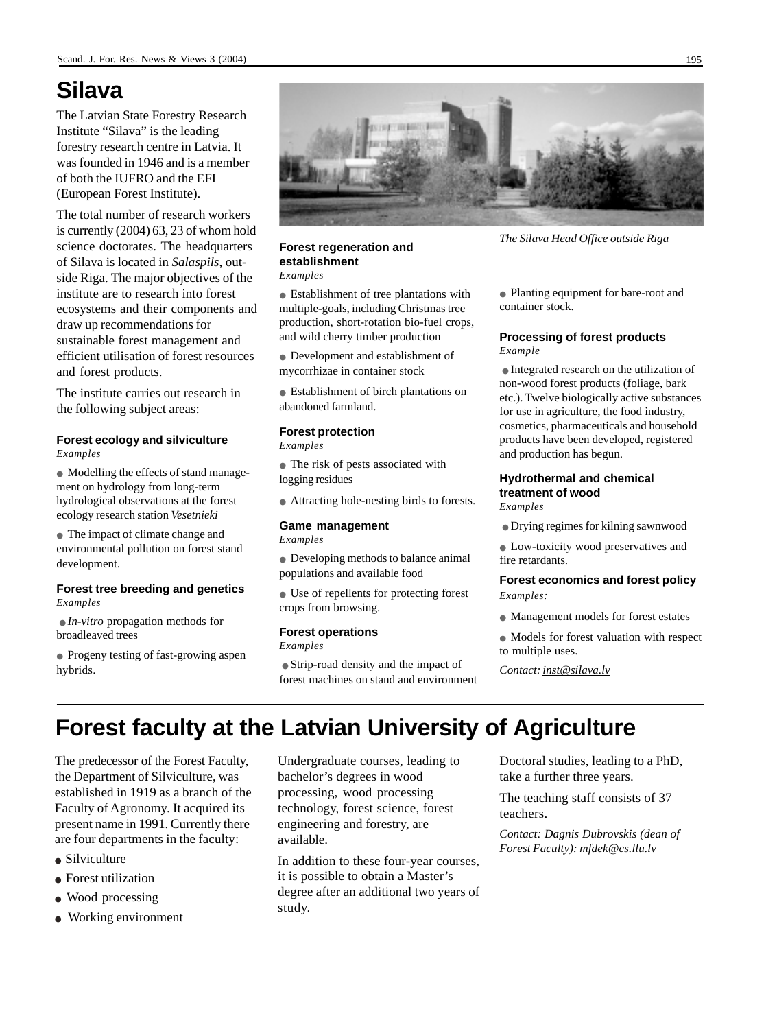### **Silava**

The Latvian State Forestry Research Institute "Silava" is the leading forestry research centre in Latvia. It was founded in 1946 and is a member of both the IUFRO and the EFI (European Forest Institute).

The total number of research workers is currently (2004) 63, 23 of whom hold science doctorates. The headquarters of Silava is located in *Salaspils*, outside Riga. The major objectives of the institute are to research into forest ecosystems and their components and draw up recommendations for sustainable forest management and efficient utilisation of forest resources and forest products.

The institute carries out research in the following subject areas:

#### **Forest ecology and silviculture** *Examples*

● Modelling the effects of stand management on hydrology from long-term hydrological observations at the forest ecology research station *Vesetnieki*

● The impact of climate change and environmental pollution on forest stand development.

#### **Forest tree breeding and genetics** *Examples*

● *In-vitro* propagation methods for broadleaved trees

● Progeny testing of fast-growing aspen hybrids.



#### **Forest regeneration and establishment**

*Examples*

● Establishment of tree plantations with multiple-goals, including Christmas tree production, short-rotation bio-fuel crops, and wild cherry timber production

● Development and establishment of mycorrhizae in container stock

● Establishment of birch plantations on abandoned farmland.

#### **Forest protection**

*Examples*

● The risk of pests associated with logging residues

● Attracting hole-nesting birds to forests.

#### **Game management**

*Examples*

● Developing methods to balance animal populations and available food

● Use of repellents for protecting forest crops from browsing.

#### **Forest operations**

*Examples*

● Strip-road density and the impact of forest machines on stand and environment *The Silava Head Office outside Riga*

● Planting equipment for bare-root and container stock.

#### **Processing of forest products**

*Example*

● Integrated research on the utilization of non-wood forest products (foliage, bark etc.). Twelve biologically active substances for use in agriculture, the food industry, cosmetics, pharmaceuticals and household products have been developed, registered and production has begun.

#### **Hydrothermal and chemical treatment of wood**

*Examples*

● Drying regimes for kilning sawnwood

● Low-toxicity wood preservatives and fire retardants.

#### **Forest economics and forest policy** *Examples:*

- Management models for forest estates
- Models for forest valuation with respect to multiple uses.

*Contact: inst@silava.lv*

## **Forest faculty at the Latvian University of Agriculture**

The predecessor of the Forest Faculty, the Department of Silviculture, was established in 1919 as a branch of the Faculty of Agronomy. It acquired its present name in 1991. Currently there are four departments in the faculty:

- Silviculture
- Forest utilization
- Wood processing
- Working environment

Undergraduate courses, leading to bachelor's degrees in wood processing, wood processing technology, forest science, forest engineering and forestry, are available.

In addition to these four-year courses, it is possible to obtain a Master's degree after an additional two years of study.

Doctoral studies, leading to a PhD, take a further three years.

The teaching staff consists of 37 teachers.

*Contact: Dagnis Dubrovskis (dean of Forest Faculty): mfdek@cs.llu.lv*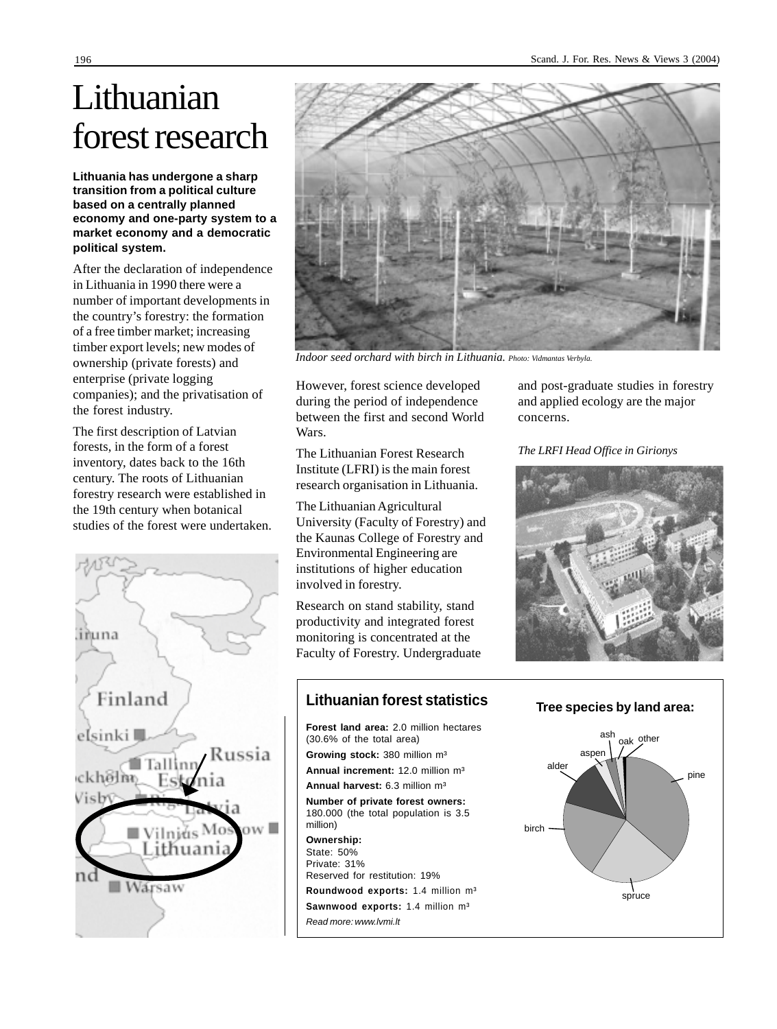## Lithuanian forest research

**Lithuania has undergone a sharp transition from a political culture based on a centrally planned economy and one-party system to a market economy and a democratic political system.**

After the declaration of independence in Lithuania in 1990 there were a number of important developments in the country's forestry: the formation of a free timber market; increasing timber export levels; new modes of ownership (private forests) and enterprise (private logging companies); and the privatisation of the forest industry.

The first description of Latvian forests, in the form of a forest inventory, dates back to the 16th century. The roots of Lithuanian forestry research were established in the 19th century when botanical studies of the forest were undertaken.





*Indoor seed orchard with birch in Lithuania. Photo: Vidmantas Verbyla.*

However, forest science developed during the period of independence between the first and second World Wars.

The Lithuanian Forest Research Institute (LFRI) is the main forest research organisation in Lithuania.

The Lithuanian Agricultural University (Faculty of Forestry) and the Kaunas College of Forestry and Environmental Engineering are institutions of higher education involved in forestry.

Research on stand stability, stand productivity and integrated forest monitoring is concentrated at the Faculty of Forestry. Undergraduate

million) **Ownership:** State: 50% Private: 31% and post-graduate studies in forestry and applied ecology are the major concerns.

*The LRFI Head Office in Girionys*



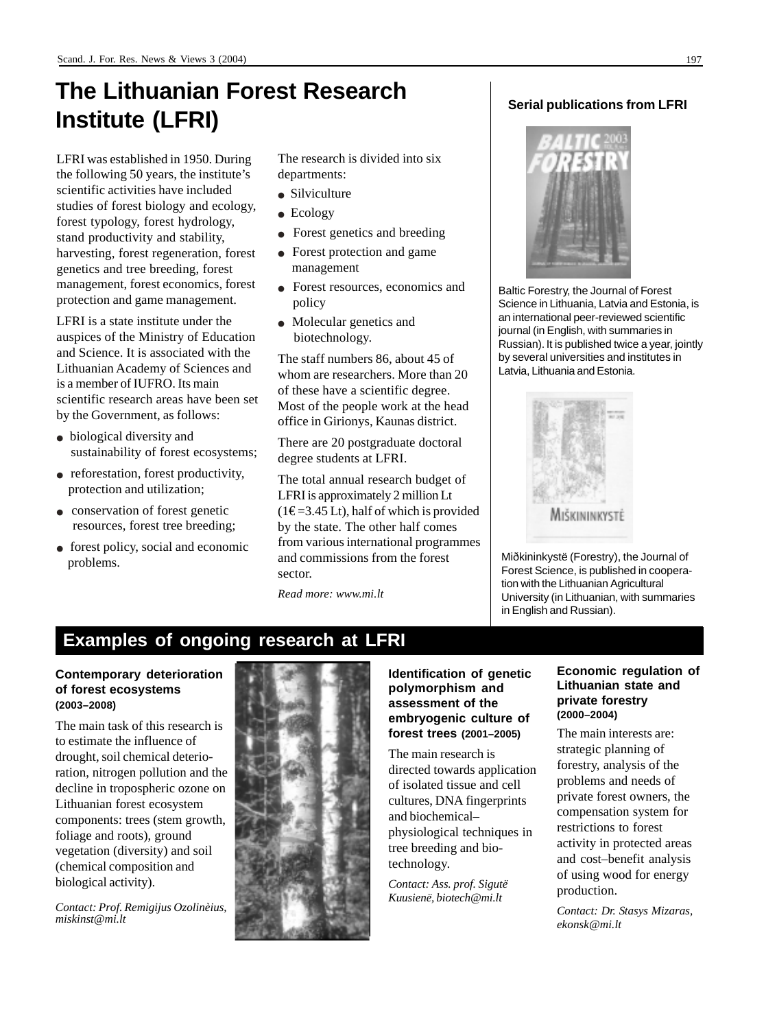## **The Lithuanian Forest Research Institute (LFRI)**

LFRI was established in 1950. During the following 50 years, the institute's scientific activities have included studies of forest biology and ecology, forest typology, forest hydrology, stand productivity and stability, harvesting, forest regeneration, forest genetics and tree breeding, forest management, forest economics, forest protection and game management.

LFRI is a state institute under the auspices of the Ministry of Education and Science. It is associated with the Lithuanian Academy of Sciences and is a member of IUFRO. Its main scientific research areas have been set by the Government, as follows:

- biological diversity and sustainability of forest ecosystems;
- reforestation, forest productivity, protection and utilization;
- conservation of forest genetic resources, forest tree breeding;
- forest policy, social and economic problems.

The research is divided into six departments:

- Silviculture
- Ecology
- Forest genetics and breeding
- Forest protection and game management
- Forest resources, economics and policy
- Molecular genetics and biotechnology.

The staff numbers 86, about 45 of whom are researchers. More than 20 of these have a scientific degree. Most of the people work at the head office in Girionys, Kaunas district.

There are 20 postgraduate doctoral degree students at LFRI.

The total annual research budget of LFRI is approximately 2 million Lt  $(1 \epsilon = 3.45 \text{ L}t)$ , half of which is provided by the state. The other half comes from various international programmes and commissions from the forest sector.

*Read more: www.mi.lt*

#### **Serial publications from LFRI**



Baltic Forestry, the Journal of Forest Science in Lithuania, Latvia and Estonia, is an international peer-reviewed scientific journal (in English, with summaries in Russian). It is published twice a year, jointly by several universities and institutes in Latvia, Lithuania and Estonia.



Miðkininkystë (Forestry), the Journal of Forest Science, is published in cooperation with the Lithuanian Agricultural University (in Lithuanian, with summaries in English and Russian).

### **Examples of ongoing research at LFRI**

#### **Contemporary deterioration of forest ecosystems (2003–2008)**

The main task of this research is to estimate the influence of drought, soil chemical deterioration, nitrogen pollution and the decline in tropospheric ozone on Lithuanian forest ecosystem components: trees (stem growth, foliage and roots), ground vegetation (diversity) and soil (chemical composition and biological activity).

*Contact: Prof. Remigijus Ozolinèius, miskinst@mi.lt*



#### **Identification of genetic polymorphism and assessment of the embryogenic culture of forest trees (2001–2005)**

The main research is directed towards application of isolated tissue and cell cultures, DNA fingerprints and biochemical– physiological techniques in tree breeding and biotechnology.

*Contact: Ass. prof. Sigutë Kuusienë, biotech@mi.lt*

#### **Economic regulation of Lithuanian state and private forestry (2000–2004)**

The main interests are: strategic planning of forestry, analysis of the problems and needs of private forest owners, the compensation system for restrictions to forest activity in protected areas and cost–benefit analysis of using wood for energy production.

*Contact: Dr. Stasys Mizaras, ekonsk@mi.lt*